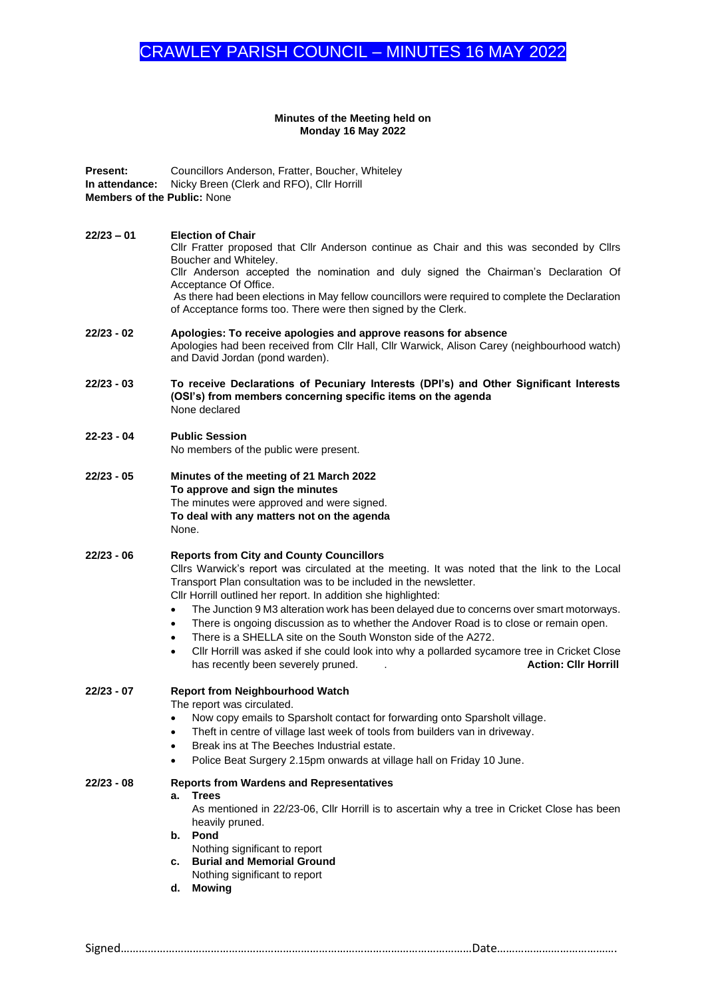#### **Minutes of the Meeting held on Monday 16 May 2022**

**Present:** Councillors Anderson, Fratter, Boucher, Whiteley **In attendance:** Nicky Breen (Clerk and RFO), Cllr Horrill **Members of the Public:** None

- **22/23 – 01 Election of Chair** Cllr Fratter proposed that Cllr Anderson continue as Chair and this was seconded by Cllrs Boucher and Whiteley. Cllr Anderson accepted the nomination and duly signed the Chairman's Declaration Of Acceptance Of Office. As there had been elections in May fellow councillors were required to complete the Declaration of Acceptance forms too. There were then signed by the Clerk.
- **22/23 - 02 Apologies: To receive apologies and approve reasons for absence** Apologies had been received from Cllr Hall, Cllr Warwick, Alison Carey (neighbourhood watch) and David Jordan (pond warden).
- **22/23 - 03 To receive Declarations of Pecuniary Interests (DPI's) and Other Significant Interests (OSI's) from members concerning specific items on the agenda** None declared

#### **22-23 - 04 Public Session**

No members of the public were present.

**22/23 - 05 Minutes of the meeting of 21 March 2022 To approve and sign the minutes** The minutes were approved and were signed. **To deal with any matters not on the agenda**  None.

#### **22/23 - 06 Reports from City and County Councillors**

Cllrs Warwick's report was circulated at the meeting. It was noted that the link to the Local Transport Plan consultation was to be included in the newsletter.

- Cllr Horrill outlined her report. In addition she highlighted:
- The Junction 9 M3 alteration work has been delayed due to concerns over smart motorways.
- There is ongoing discussion as to whether the Andover Road is to close or remain open.
- There is a SHELLA site on the South Wonston side of the A272.
- Cllr Horrill was asked if she could look into why a pollarded sycamore tree in Cricket Close has recently been severely pruned. **Action: Cllr Horrill Action: Cllr Horrill Action: Cllr Horrill**

**22/23 - 07 Report from Neighbourhood Watch**

The report was circulated.

- Now copy emails to Sparsholt contact for forwarding onto Sparsholt village.
- Theft in centre of village last week of tools from builders van in driveway.
- Break ins at The Beeches Industrial estate.
- Police Beat Surgery 2.15pm onwards at village hall on Friday 10 June.

#### **22/23 - 08 Reports from Wardens and Representatives**

- 
- **a. Trees**
	- As mentioned in 22/23-06, Cllr Horrill is to ascertain why a tree in Cricket Close has been heavily pruned.
- **b. Pond** Nothing significant to report
- **c. Burial and Memorial Ground**
- Nothing significant to report
- **d. Mowing**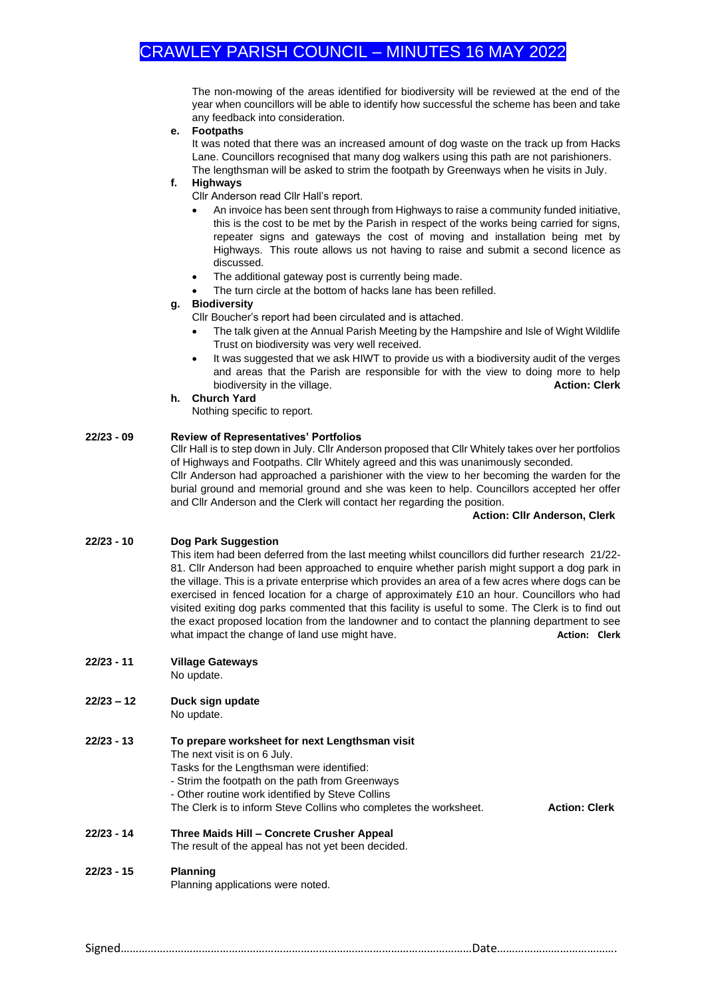The non-mowing of the areas identified for biodiversity will be reviewed at the end of the year when councillors will be able to identify how successful the scheme has been and take any feedback into consideration.

#### **e. Footpaths**

It was noted that there was an increased amount of dog waste on the track up from Hacks Lane. Councillors recognised that many dog walkers using this path are not parishioners.

The lengthsman will be asked to strim the footpath by Greenways when he visits in July.

#### **f. Highways**

Cllr Anderson read Cllr Hall's report.

- An invoice has been sent through from Highways to raise a community funded initiative, this is the cost to be met by the Parish in respect of the works being carried for signs, repeater signs and gateways the cost of moving and installation being met by Highways. This route allows us not having to raise and submit a second licence as discussed.
- The additional gateway post is currently being made.
- The turn circle at the bottom of hacks lane has been refilled.

### **g. Biodiversity**

Cllr Boucher's report had been circulated and is attached.

- The talk given at the Annual Parish Meeting by the Hampshire and Isle of Wight Wildlife Trust on biodiversity was very well received.
- It was suggested that we ask HIWT to provide us with a biodiversity audit of the verges and areas that the Parish are responsible for with the view to doing more to help biodiversity in the village. **Action: Clerk**

#### **h. Church Yard**

Nothing specific to report.

#### **22/23 - 09 Review of Representatives' Portfolios**

Cllr Hall is to step down in July. Cllr Anderson proposed that Cllr Whitely takes over her portfolios of Highways and Footpaths. Cllr Whitely agreed and this was unanimously seconded. Cllr Anderson had approached a parishioner with the view to her becoming the warden for the burial ground and memorial ground and she was keen to help. Councillors accepted her offer and Cllr Anderson and the Clerk will contact her regarding the position.

#### **Action: Cllr Anderson, Clerk**

#### **22/23 - 10 Dog Park Suggestion**

This item had been deferred from the last meeting whilst councillors did further research 21/22- 81. Cllr Anderson had been approached to enquire whether parish might support a dog park in the village. This is a private enterprise which provides an area of a few acres where dogs can be exercised in fenced location for a charge of approximately £10 an hour. Councillors who had visited exiting dog parks commented that this facility is useful to some. The Clerk is to find out the exact proposed location from the landowner and to contact the planning department to see what impact the change of land use might have. **Action: Clerk Action: Clerk** 

#### **22/23 - 11 Village Gateways**

No update.

**22/23 – 12 Duck sign update** No update.

#### **22/23 - 13 To prepare worksheet for next Lengthsman visit**  The next visit is on 6 July.

- Tasks for the Lengthsman were identified:
- Strim the footpath on the path from Greenways
- Other routine work identified by Steve Collins
- The Clerk is to inform Steve Collins who completes the worksheet. **Action: Clerk**

# **22/23 - 14 Three Maids Hill – Concrete Crusher Appeal**

The result of the appeal has not yet been decided.

#### **22/23 - 15 Planning**

Planning applications were noted.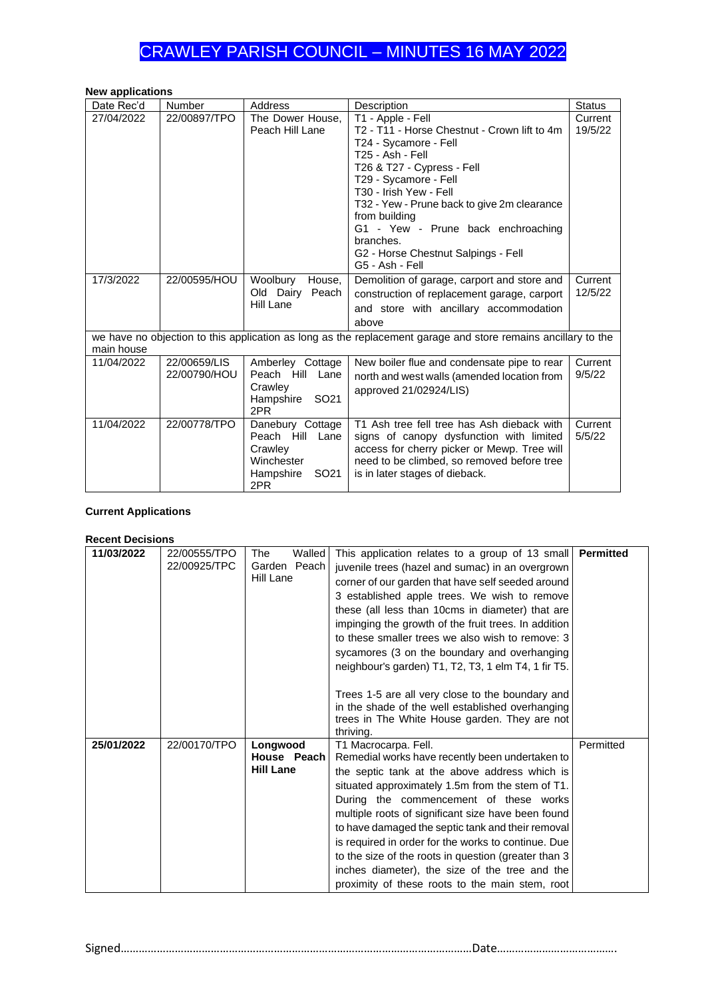# **New applications**

| . .<br>Date Rec'd                                                                                                           | <b>Number</b>                | Address                                                                                              | Description                                                                                                                                                                                                                                                                                                                                                                  | <b>Status</b>      |
|-----------------------------------------------------------------------------------------------------------------------------|------------------------------|------------------------------------------------------------------------------------------------------|------------------------------------------------------------------------------------------------------------------------------------------------------------------------------------------------------------------------------------------------------------------------------------------------------------------------------------------------------------------------------|--------------------|
| 27/04/2022                                                                                                                  | 22/00897/TPO                 | The Dower House,<br>Peach Hill Lane                                                                  | T1 - Apple - Fell<br>T2 - T11 - Horse Chestnut - Crown lift to 4m<br>T24 - Sycamore - Fell<br>T25 - Ash - Fell<br>T26 & T27 - Cypress - Fell<br>T29 - Sycamore - Fell<br>T30 - Irish Yew - Fell<br>T32 - Yew - Prune back to give 2m clearance<br>from building<br>G1 - Yew - Prune back enchroaching<br>branches.<br>G2 - Horse Chestnut Salpings - Fell<br>G5 - Ash - Fell | Current<br>19/5/22 |
| 17/3/2022                                                                                                                   | 22/00595/HOU                 | Woolbury<br>House,<br>Old Dairy Peach<br>Hill Lane                                                   | Demolition of garage, carport and store and<br>construction of replacement garage, carport<br>and store with ancillary accommodation<br>above                                                                                                                                                                                                                                | Current<br>12/5/22 |
| we have no objection to this application as long as the replacement garage and store remains ancillary to the<br>main house |                              |                                                                                                      |                                                                                                                                                                                                                                                                                                                                                                              |                    |
| 11/04/2022                                                                                                                  | 22/00659/LIS<br>22/00790/HOU | Amberley Cottage<br>Peach Hill Lane<br>Crawley<br>Hampshire<br>SO <sub>21</sub><br>2PR               | New boiler flue and condensate pipe to rear<br>north and west walls (amended location from<br>approved 21/02924/LIS)                                                                                                                                                                                                                                                         | Current<br>9/5/22  |
| 11/04/2022                                                                                                                  | 22/00778/TPO                 | Danebury Cottage<br>Peach Hill Lane<br>Crawley<br>Winchester<br>Hampshire<br>SO <sub>21</sub><br>2PR | T1 Ash tree fell tree has Ash dieback with<br>signs of canopy dysfunction with limited<br>access for cherry picker or Mewp. Tree will<br>need to be climbed, so removed before tree<br>is in later stages of dieback.                                                                                                                                                        | Current<br>5/5/22  |

# **Current Applications**

#### **Recent Decisions**

| 11/03/2022 | 22/00555/TPO<br>22/00925/TPC | Walled<br>The<br>Garden Peach<br>Hill Lane  | This application relates to a group of 13 small<br>juvenile trees (hazel and sumac) in an overgrown<br>corner of our garden that have self seeded around<br>3 established apple trees. We wish to remove<br>these (all less than 10cms in diameter) that are<br>impinging the growth of the fruit trees. In addition<br>to these smaller trees we also wish to remove: 3<br>sycamores (3 on the boundary and overhanging<br>neighbour's garden) T1, T2, T3, 1 elm T4, 1 fir T5.<br>Trees 1-5 are all very close to the boundary and<br>in the shade of the well established overhanging<br>trees in The White House garden. They are not<br>thriving. | <b>Permitted</b> |
|------------|------------------------------|---------------------------------------------|-------------------------------------------------------------------------------------------------------------------------------------------------------------------------------------------------------------------------------------------------------------------------------------------------------------------------------------------------------------------------------------------------------------------------------------------------------------------------------------------------------------------------------------------------------------------------------------------------------------------------------------------------------|------------------|
| 25/01/2022 | 22/00170/TPO                 | Longwood<br>House Peach<br><b>Hill Lane</b> | T1 Macrocarpa. Fell.<br>Remedial works have recently been undertaken to<br>the septic tank at the above address which is<br>situated approximately 1.5m from the stem of T1.<br>During the commencement of these works<br>multiple roots of significant size have been found<br>to have damaged the septic tank and their removal<br>is required in order for the works to continue. Due<br>to the size of the roots in question (greater than 3<br>inches diameter), the size of the tree and the<br>proximity of these roots to the main stem, root                                                                                                 | Permitted        |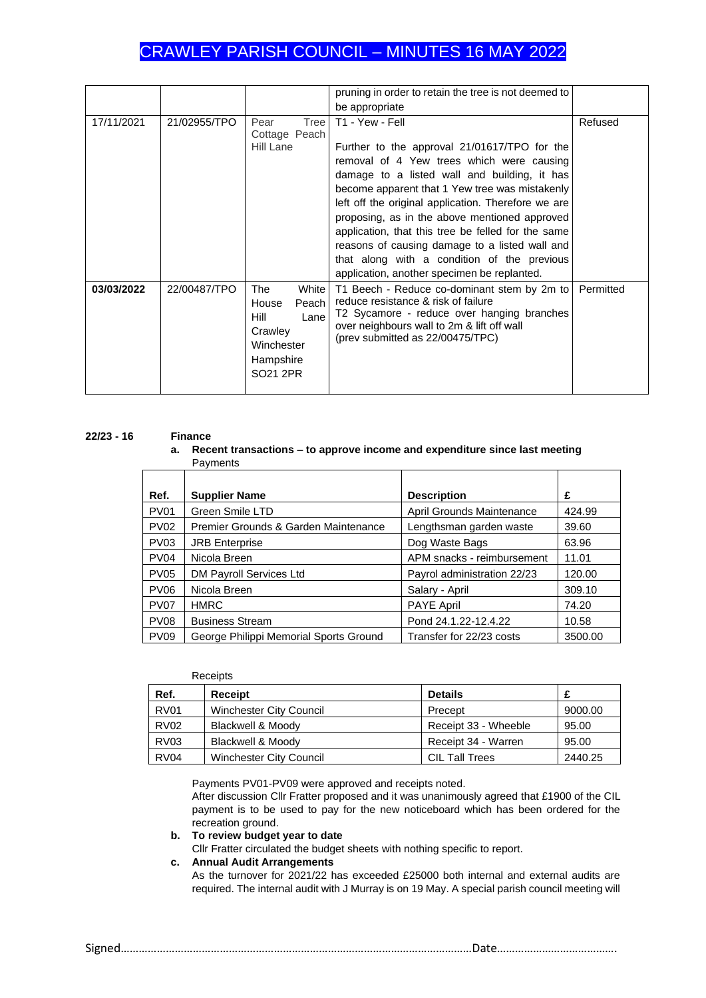|            |              |                                                                                                  | pruning in order to retain the tree is not deemed to                                                                                                                                                                                                                                                                                                                                                                                                                                                                         |           |
|------------|--------------|--------------------------------------------------------------------------------------------------|------------------------------------------------------------------------------------------------------------------------------------------------------------------------------------------------------------------------------------------------------------------------------------------------------------------------------------------------------------------------------------------------------------------------------------------------------------------------------------------------------------------------------|-----------|
|            |              |                                                                                                  | be appropriate                                                                                                                                                                                                                                                                                                                                                                                                                                                                                                               |           |
| 17/11/2021 | 21/02955/TPO | Tree<br>Pear<br>Cottage Peach<br>Hill Lane                                                       | T1 - Yew - Fell<br>Further to the approval 21/01617/TPO for the<br>removal of 4 Yew trees which were causing<br>damage to a listed wall and building, it has<br>become apparent that 1 Yew tree was mistakenly<br>left off the original application. Therefore we are<br>proposing, as in the above mentioned approved<br>application, that this tree be felled for the same<br>reasons of causing damage to a listed wall and<br>that along with a condition of the previous<br>application, another specimen be replanted. | Refused   |
| 03/03/2022 | 22/00487/TPO | The<br>White<br>Peach<br>House<br>Hill<br>Lane<br>Crawley<br>Winchester<br>Hampshire<br>SO21 2PR | T1 Beech - Reduce co-dominant stem by 2m to<br>reduce resistance & risk of failure<br>T2 Sycamore - reduce over hanging branches<br>over neighbours wall to 2m & lift off wall<br>(prev submitted as 22/00475/TPC)                                                                                                                                                                                                                                                                                                           | Permitted |

#### **22/23 - 16 Finance**

**a. Recent transactions – to approve income and expenditure since last meeting** Payments

| Ref.             | <b>Supplier Name</b>                   | <b>Description</b>          | £       |
|------------------|----------------------------------------|-----------------------------|---------|
| PV <sub>01</sub> | Green Smile LTD                        | April Grounds Maintenance   | 424.99  |
| <b>PV02</b>      | Premier Grounds & Garden Maintenance   | Lengthsman garden waste     | 39.60   |
| <b>PV03</b>      | <b>JRB</b> Enterprise                  | Dog Waste Bags              | 63.96   |
| PV <sub>04</sub> | Nicola Breen                           | APM snacks - reimbursement  | 11.01   |
| <b>PV05</b>      | DM Payroll Services Ltd                | Payrol administration 22/23 | 120.00  |
| <b>PV06</b>      | Nicola Breen                           | Salary - April              | 309.10  |
| PV <sub>07</sub> | <b>HMRC</b>                            | <b>PAYE April</b>           | 74.20   |
| <b>PV08</b>      | <b>Business Stream</b>                 | Pond 24.1.22-12.4.22        | 10.58   |
| PV <sub>09</sub> | George Philippi Memorial Sports Ground | Transfer for 22/23 costs    | 3500.00 |

| Receipts         |                                |                      |         |  |
|------------------|--------------------------------|----------------------|---------|--|
| Ref.             | Receipt                        | <b>Details</b>       |         |  |
| <b>RV01</b>      | <b>Winchester City Council</b> | Precept              | 9000.00 |  |
| <b>RV02</b>      | Blackwell & Moody              | Receipt 33 - Wheeble | 95.00   |  |
| <b>RV03</b>      | Blackwell & Moody              | Receipt 34 - Warren  | 95.00   |  |
| RV <sub>04</sub> | <b>Winchester City Council</b> | CIL Tall Trees       | 2440.25 |  |

Payments PV01-PV09 were approved and receipts noted.

After discussion Cllr Fratter proposed and it was unanimously agreed that £1900 of the CIL payment is to be used to pay for the new noticeboard which has been ordered for the recreation ground.

# **b. To review budget year to date**

Cllr Fratter circulated the budget sheets with nothing specific to report.

### **c. Annual Audit Arrangements**

As the turnover for 2021/22 has exceeded £25000 both internal and external audits are required. The internal audit with J Murray is on 19 May. A special parish council meeting will